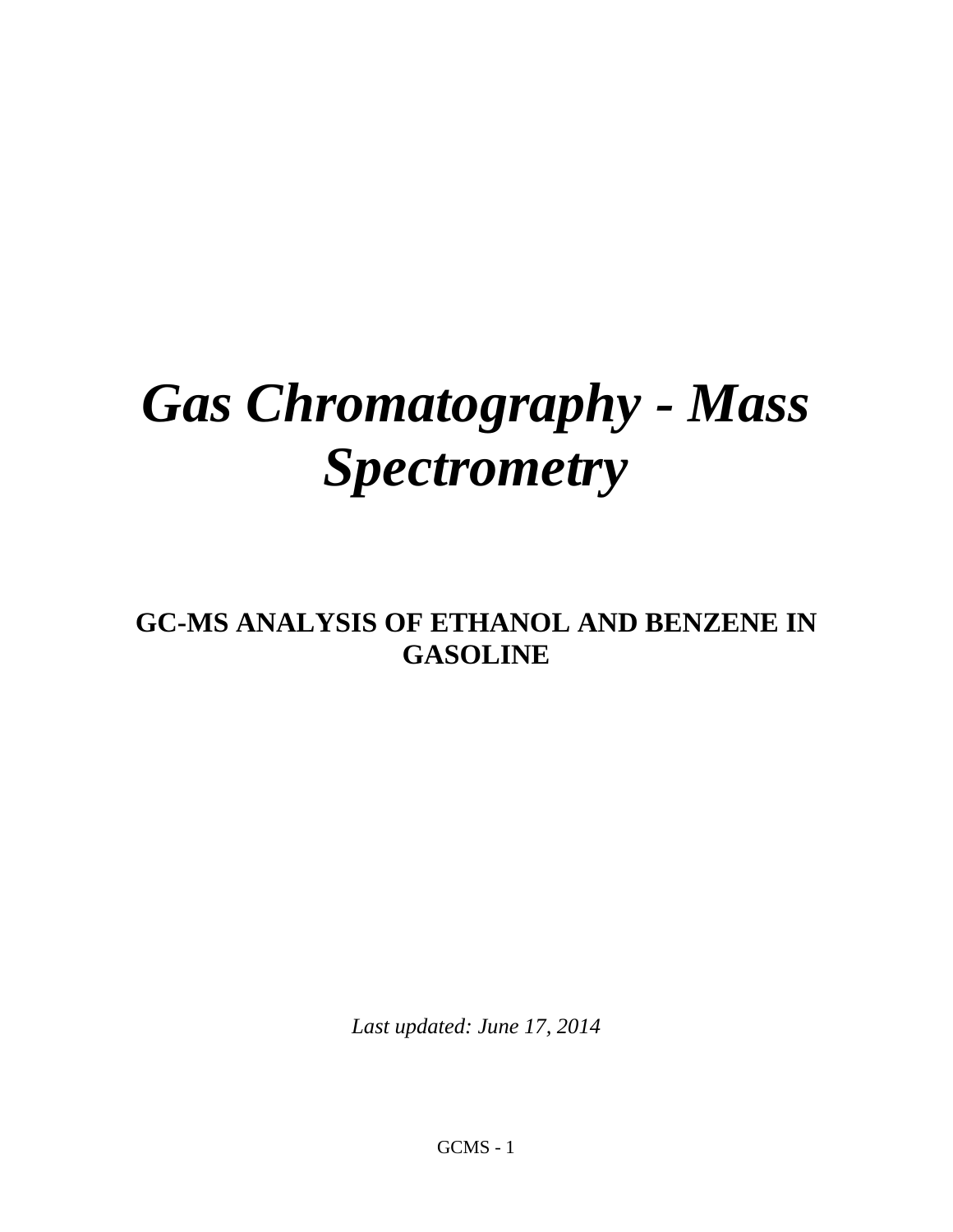# *Gas Chromatography - Mass Spectrometry*

# **GC-MS ANALYSIS OF ETHANOL AND BENZENE IN GASOLINE**

*Last updated: June 17, 2014*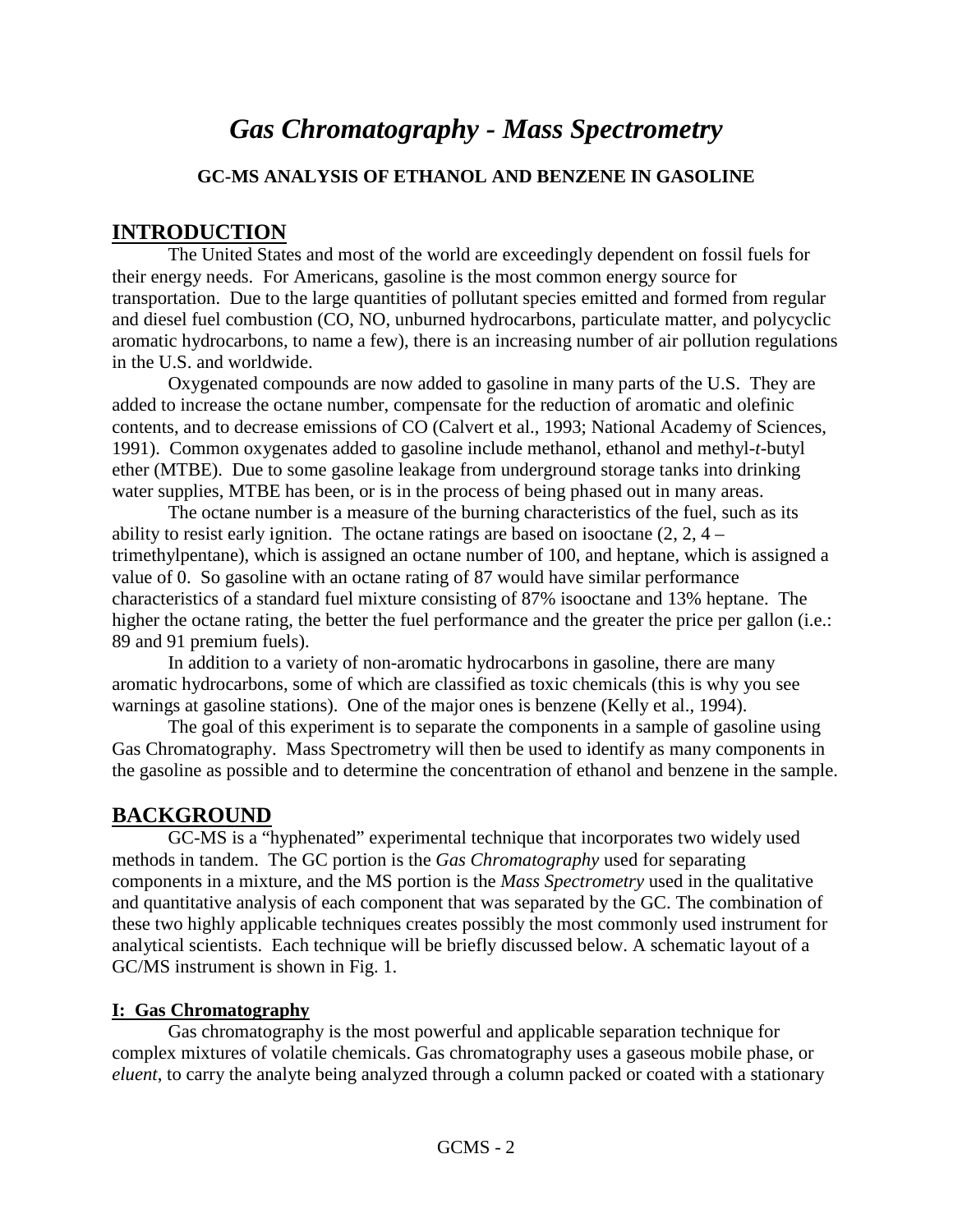## *Gas Chromatography - Mass Spectrometry*

#### **GC-MS ANALYSIS OF ETHANOL AND BENZENE IN GASOLINE**

#### **INTRODUCTION**

The United States and most of the world are exceedingly dependent on fossil fuels for their energy needs. For Americans, gasoline is the most common energy source for transportation. Due to the large quantities of pollutant species emitted and formed from regular and diesel fuel combustion (CO, NO, unburned hydrocarbons, particulate matter, and polycyclic aromatic hydrocarbons, to name a few), there is an increasing number of air pollution regulations in the U.S. and worldwide.

Oxygenated compounds are now added to gasoline in many parts of the U.S. They are added to increase the octane number, compensate for the reduction of aromatic and olefinic contents, and to decrease emissions of CO (Calvert et al., 1993; National Academy of Sciences, 1991). Common oxygenates added to gasoline include methanol, ethanol and methyl-*t*-butyl ether (MTBE). Due to some gasoline leakage from underground storage tanks into drinking water supplies, MTBE has been, or is in the process of being phased out in many areas.

The octane number is a measure of the burning characteristics of the fuel, such as its ability to resist early ignition. The octane ratings are based on isoloctane  $(2, 2, 4$ trimethylpentane), which is assigned an octane number of 100, and heptane, which is assigned a value of 0. So gasoline with an octane rating of 87 would have similar performance characteristics of a standard fuel mixture consisting of 87% isooctane and 13% heptane. The higher the octane rating, the better the fuel performance and the greater the price per gallon (i.e.: 89 and 91 premium fuels).

In addition to a variety of non-aromatic hydrocarbons in gasoline, there are many aromatic hydrocarbons, some of which are classified as toxic chemicals (this is why you see warnings at gasoline stations). One of the major ones is benzene (Kelly et al., 1994).

The goal of this experiment is to separate the components in a sample of gasoline using Gas Chromatography. Mass Spectrometry will then be used to identify as many components in the gasoline as possible and to determine the concentration of ethanol and benzene in the sample.

## **BACKGROUND**

GC-MS is a "hyphenated" experimental technique that incorporates two widely used methods in tandem. The GC portion is the *Gas Chromatography* used for separating components in a mixture, and the MS portion is the *Mass Spectrometry* used in the qualitative and quantitative analysis of each component that was separated by the GC. The combination of these two highly applicable techniques creates possibly the most commonly used instrument for analytical scientists. Each technique will be briefly discussed below. A schematic layout of a GC/MS instrument is shown in Fig. 1.

#### **I: Gas Chromatography**

Gas chromatography is the most powerful and applicable separation technique for complex mixtures of volatile chemicals. Gas chromatography uses a gaseous mobile phase, or *eluent*, to carry the analyte being analyzed through a column packed or coated with a stationary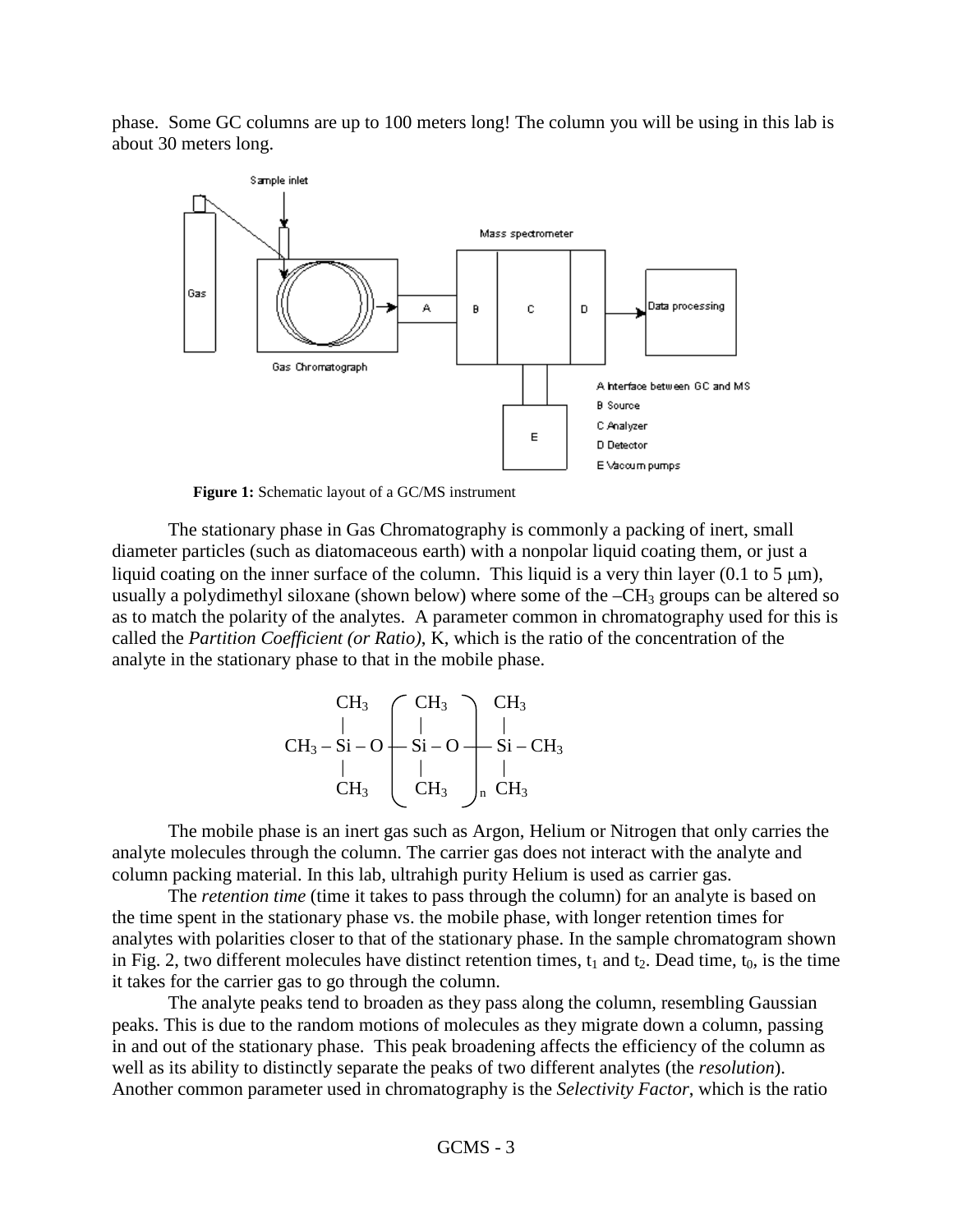phase. Some GC columns are up to 100 meters long! The column you will be using in this lab is about 30 meters long.



**Figure 1:** Schematic layout of a GC/MS instrument

The stationary phase in Gas Chromatography is commonly a packing of inert, small diameter particles (such as diatomaceous earth) with a nonpolar liquid coating them, or just a liquid coating on the inner surface of the column. This liquid is a very thin layer (0.1 to 5  $\mu$ m), usually a polydimethyl siloxane (shown below) where some of the  $-CH_3$  groups can be altered so as to match the polarity of the analytes. A parameter common in chromatography used for this is called the *Partition Coefficient (or Ratio)*, K, which is the ratio of the concentration of the analyte in the stationary phase to that in the mobile phase.

$$
CH_3 \begin{array}{c} CH_3 \\ | \\ CH_3-Si-O \\ | \\ CH_3 \end{array} \begin{array}{c} CH_3 \\ | \\ Si-O \\ | \\ CH_3 \end{array} \begin{array}{c} CH_3 \\ | \\ Si-CH_3 \\ | \\ CH_3 \end{array}
$$

The mobile phase is an inert gas such as Argon, Helium or Nitrogen that only carries the analyte molecules through the column. The carrier gas does not interact with the analyte and column packing material. In this lab, ultrahigh purity Helium is used as carrier gas.

The *retention time* (time it takes to pass through the column) for an analyte is based on the time spent in the stationary phase vs. the mobile phase, with longer retention times for analytes with polarities closer to that of the stationary phase. In the sample chromatogram shown in Fig. 2, two different molecules have distinct retention times,  $t_1$  and  $t_2$ . Dead time,  $t_0$ , is the time it takes for the carrier gas to go through the column.

The analyte peaks tend to broaden as they pass along the column, resembling Gaussian peaks. This is due to the random motions of molecules as they migrate down a column, passing in and out of the stationary phase. This peak broadening affects the efficiency of the column as well as its ability to distinctly separate the peaks of two different analytes (the *resolution*). Another common parameter used in chromatography is the *Selectivity Factor*, which is the ratio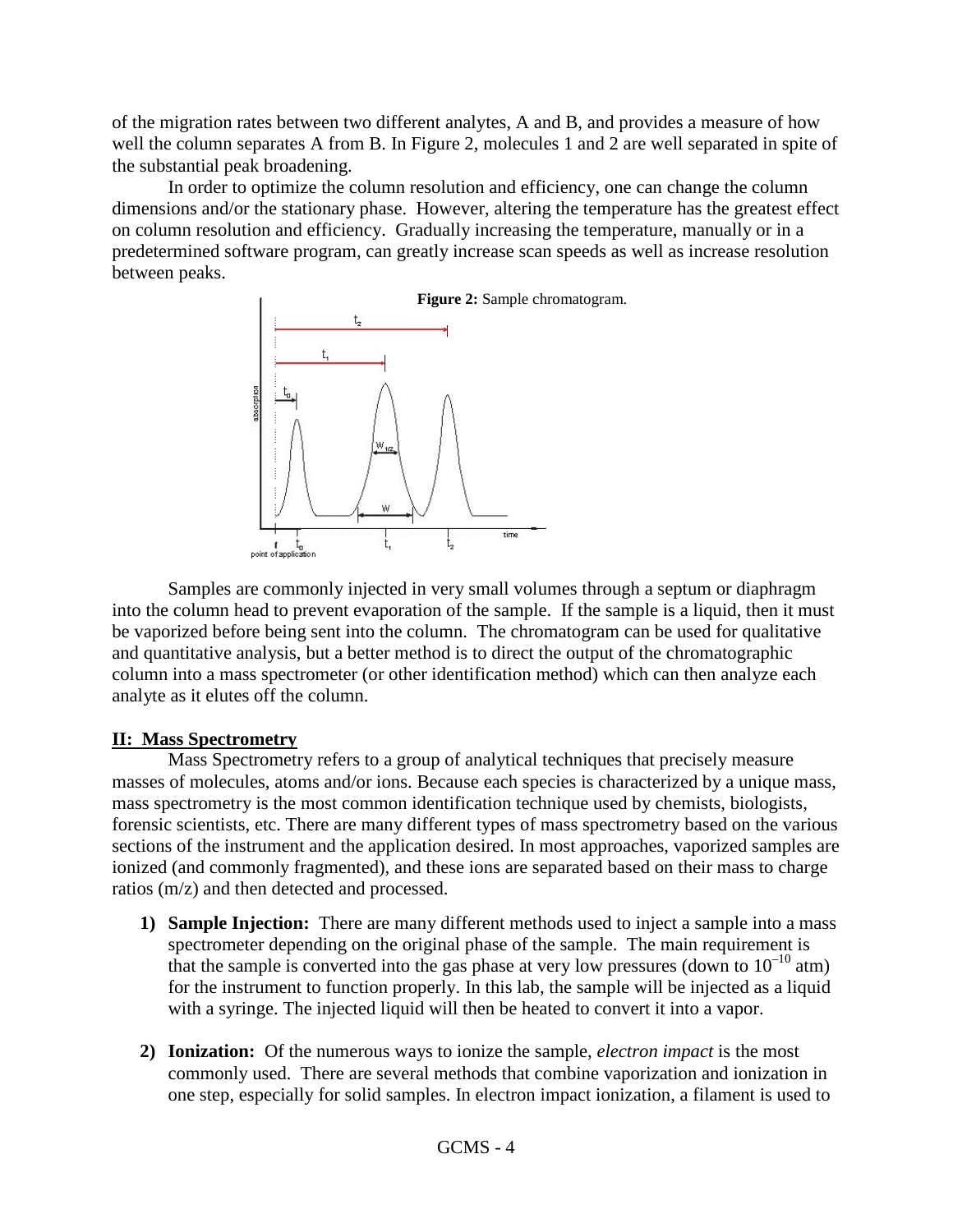of the migration rates between two different analytes, A and B, and provides a measure of how well the column separates A from B. In Figure 2, molecules 1 and 2 are well separated in spite of the substantial peak broadening.

In order to optimize the column resolution and efficiency, one can change the column dimensions and/or the stationary phase. However, altering the temperature has the greatest effect on column resolution and efficiency. Gradually increasing the temperature, manually or in a predetermined software program, can greatly increase scan speeds as well as increase resolution between peaks.



Samples are commonly injected in very small volumes through a septum or diaphragm into the column head to prevent evaporation of the sample. If the sample is a liquid, then it must be vaporized before being sent into the column. The chromatogram can be used for qualitative and quantitative analysis, but a better method is to direct the output of the chromatographic column into a mass spectrometer (or other identification method) which can then analyze each analyte as it elutes off the column.

#### **II: Mass Spectrometry**

Mass Spectrometry refers to a group of analytical techniques that precisely measure masses of molecules, atoms and/or ions. Because each species is characterized by a unique mass, mass spectrometry is the most common identification technique used by chemists, biologists, forensic scientists, etc. There are many different types of mass spectrometry based on the various sections of the instrument and the application desired. In most approaches, vaporized samples are ionized (and commonly fragmented), and these ions are separated based on their mass to charge ratios (m/z) and then detected and processed.

- **1) Sample Injection:** There are many different methods used to inject a sample into a mass spectrometer depending on the original phase of the sample. The main requirement is that the sample is converted into the gas phase at very low pressures (down to  $10^{-10}$  atm) for the instrument to function properly. In this lab, the sample will be injected as a liquid with a syringe. The injected liquid will then be heated to convert it into a vapor.
- **2) Ionization:** Of the numerous ways to ionize the sample, *electron impact* is the most commonly used. There are several methods that combine vaporization and ionization in one step, especially for solid samples. In electron impact ionization, a filament is used to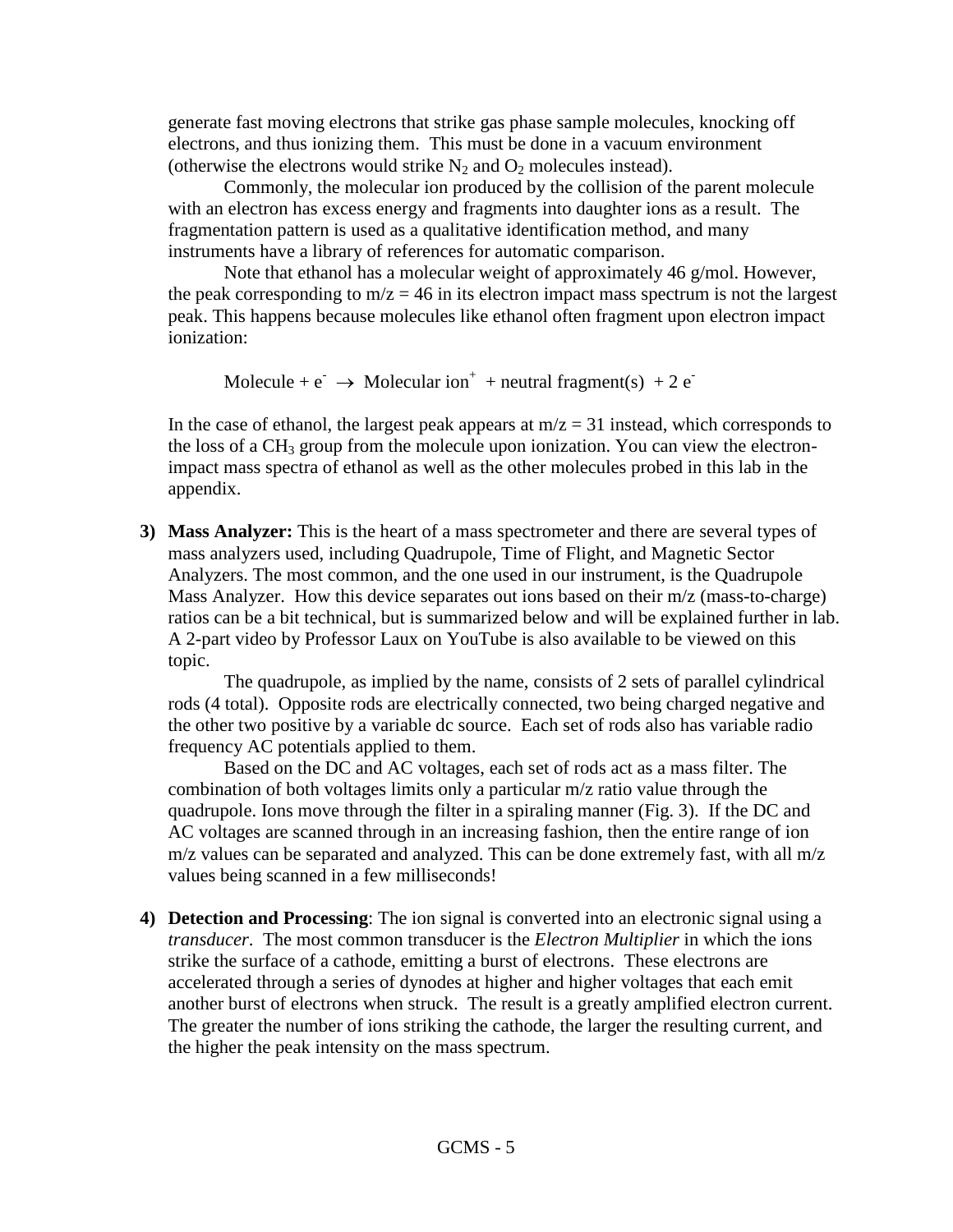generate fast moving electrons that strike gas phase sample molecules, knocking off electrons, and thus ionizing them. This must be done in a vacuum environment (otherwise the electrons would strike  $N_2$  and  $O_2$  molecules instead).

Commonly, the molecular ion produced by the collision of the parent molecule with an electron has excess energy and fragments into daughter ions as a result. The fragmentation pattern is used as a qualitative identification method, and many instruments have a library of references for automatic comparison.

Note that ethanol has a molecular weight of approximately 46 g/mol. However, the peak corresponding to  $m/z = 46$  in its electron impact mass spectrum is not the largest peak. This happens because molecules like ethanol often fragment upon electron impact ionization:

Molecule +  $e^ \rightarrow$  Molecular ion<sup>+</sup> + neutral fragment(s) + 2  $e^-$ 

In the case of ethanol, the largest peak appears at  $m/z = 31$  instead, which corresponds to the loss of a CH<sub>3</sub> group from the molecule upon ionization. You can view the electronimpact mass spectra of ethanol as well as the other molecules probed in this lab in the appendix.

**3) Mass Analyzer:** This is the heart of a mass spectrometer and there are several types of mass analyzers used, including Quadrupole, Time of Flight, and Magnetic Sector Analyzers. The most common, and the one used in our instrument, is the Quadrupole Mass Analyzer. How this device separates out ions based on their m/z (mass-to-charge) ratios can be a bit technical, but is summarized below and will be explained further in lab. A 2-part video by Professor Laux on YouTube is also available to be viewed on this topic.

The quadrupole, as implied by the name, consists of 2 sets of parallel cylindrical rods (4 total). Opposite rods are electrically connected, two being charged negative and the other two positive by a variable dc source. Each set of rods also has variable radio frequency AC potentials applied to them.

Based on the DC and AC voltages, each set of rods act as a mass filter. The combination of both voltages limits only a particular m/z ratio value through the quadrupole. Ions move through the filter in a spiraling manner (Fig. 3). If the DC and AC voltages are scanned through in an increasing fashion, then the entire range of ion m/z values can be separated and analyzed. This can be done extremely fast, with all m/z values being scanned in a few milliseconds!

**4) Detection and Processing**: The ion signal is converted into an electronic signal using a *transducer*. The most common transducer is the *Electron Multiplier* in which the ions strike the surface of a cathode, emitting a burst of electrons. These electrons are accelerated through a series of dynodes at higher and higher voltages that each emit another burst of electrons when struck. The result is a greatly amplified electron current. The greater the number of ions striking the cathode, the larger the resulting current, and the higher the peak intensity on the mass spectrum.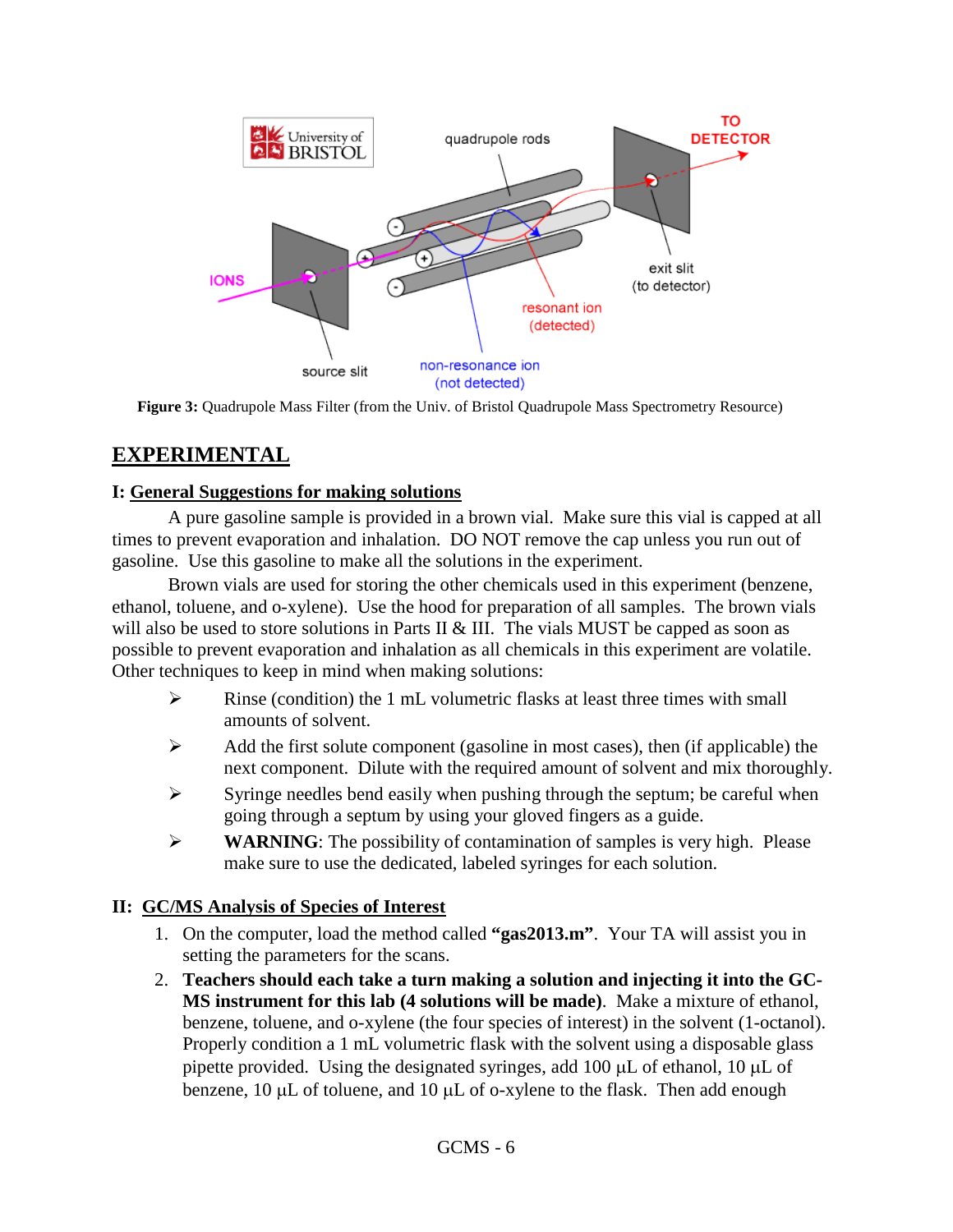

**Figure 3:** Quadrupole Mass Filter (from the Univ. of Bristol Quadrupole Mass Spectrometry Resource)

### **EXPERIMENTAL**

#### **I: General Suggestions for making solutions**

A pure gasoline sample is provided in a brown vial. Make sure this vial is capped at all times to prevent evaporation and inhalation. DO NOT remove the cap unless you run out of gasoline. Use this gasoline to make all the solutions in the experiment.

Brown vials are used for storing the other chemicals used in this experiment (benzene, ethanol, toluene, and o-xylene). Use the hood for preparation of all samples. The brown vials will also be used to store solutions in Parts II & III. The vials MUST be capped as soon as possible to prevent evaporation and inhalation as all chemicals in this experiment are volatile. Other techniques to keep in mind when making solutions:

- $\triangleright$  Rinse (condition) the 1 mL volumetric flasks at least three times with small amounts of solvent.
- $\triangleright$  Add the first solute component (gasoline in most cases), then (if applicable) the next component. Dilute with the required amount of solvent and mix thoroughly.
- $\triangleright$  Syringe needles bend easily when pushing through the septum; be careful when going through a septum by using your gloved fingers as a guide.
- **WARNING**: The possibility of contamination of samples is very high. Please make sure to use the dedicated, labeled syringes for each solution.

#### **II: GC/MS Analysis of Species of Interest**

- 1. On the computer, load the method called **"gas2013.m"**. Your TA will assist you in setting the parameters for the scans.
- 2. **Teachers should each take a turn making a solution and injecting it into the GC-MS instrument for this lab (4 solutions will be made)**. Make a mixture of ethanol, benzene, toluene, and o-xylene (the four species of interest) in the solvent (1-octanol). Properly condition a 1 mL volumetric flask with the solvent using a disposable glass pipette provided. Using the designated syringes, add 100  $\mu$ L of ethanol, 10  $\mu$ L of benzene,  $10 \mu L$  of toluene, and  $10 \mu L$  of o-xylene to the flask. Then add enough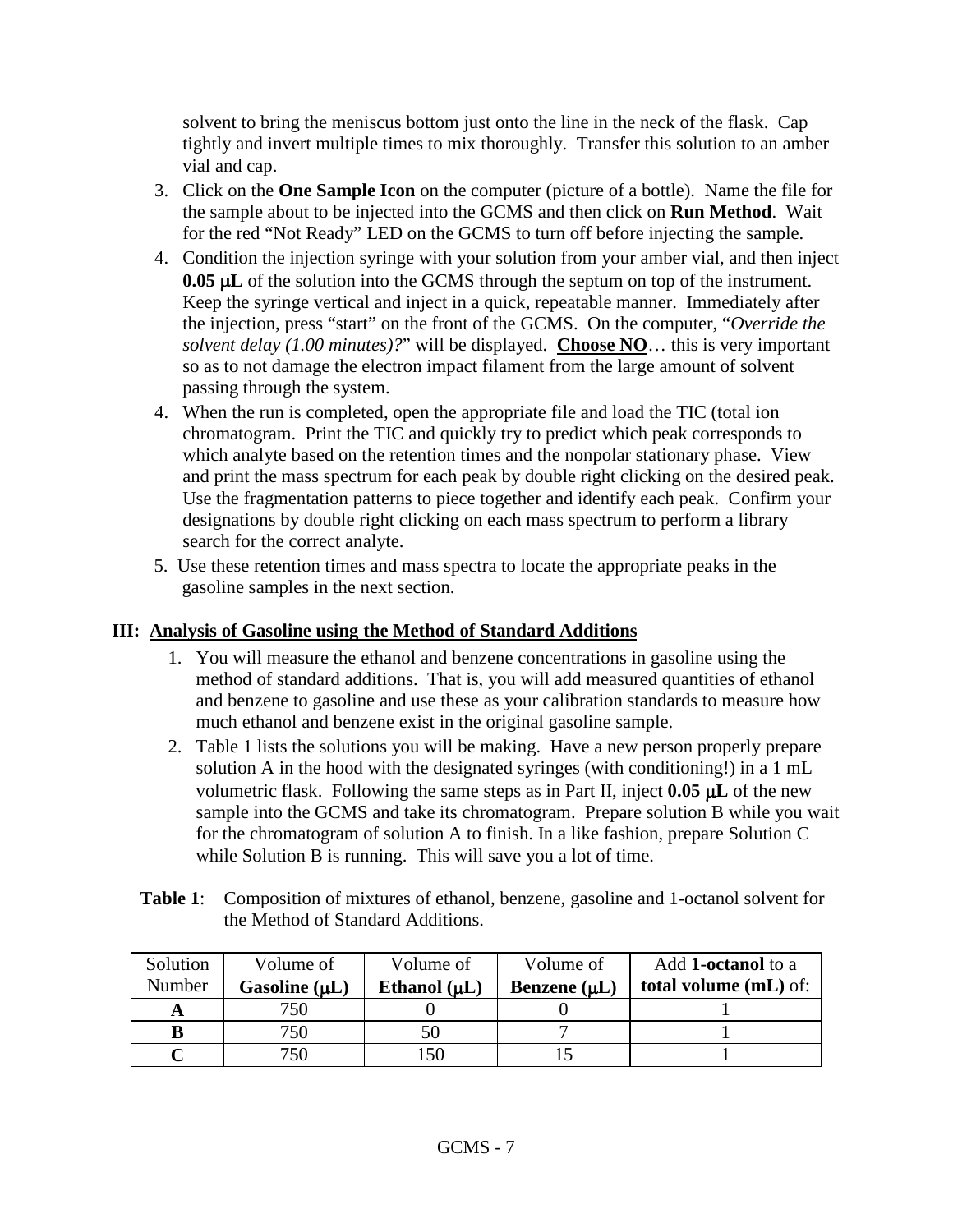solvent to bring the meniscus bottom just onto the line in the neck of the flask. Cap tightly and invert multiple times to mix thoroughly. Transfer this solution to an amber vial and cap.

- 3. Click on the **One Sample Icon** on the computer (picture of a bottle). Name the file for the sample about to be injected into the GCMS and then click on **Run Method**. Wait for the red "Not Ready" LED on the GCMS to turn off before injecting the sample.
- 4. Condition the injection syringe with your solution from your amber vial, and then inject **0.05 µL** of the solution into the GCMS through the septum on top of the instrument. Keep the syringe vertical and inject in a quick, repeatable manner. Immediately after the injection, press "start" on the front of the GCMS. On the computer, "*Override the solvent delay (1.00 minutes)?*" will be displayed. **Choose NO**… this is very important so as to not damage the electron impact filament from the large amount of solvent passing through the system.
- 4. When the run is completed, open the appropriate file and load the TIC (total ion chromatogram. Print the TIC and quickly try to predict which peak corresponds to which analyte based on the retention times and the nonpolar stationary phase. View and print the mass spectrum for each peak by double right clicking on the desired peak. Use the fragmentation patterns to piece together and identify each peak. Confirm your designations by double right clicking on each mass spectrum to perform a library search for the correct analyte.
- 5. Use these retention times and mass spectra to locate the appropriate peaks in the gasoline samples in the next section.

#### **III: Analysis of Gasoline using the Method of Standard Additions**

- 1. You will measure the ethanol and benzene concentrations in gasoline using the method of standard additions. That is, you will add measured quantities of ethanol and benzene to gasoline and use these as your calibration standards to measure how much ethanol and benzene exist in the original gasoline sample.
- 2. Table 1 lists the solutions you will be making. Have a new person properly prepare solution A in the hood with the designated syringes (with conditioning!) in a 1 mL volumetric flask. Following the same steps as in Part II, inject **0.05** µ**L** of the new sample into the GCMS and take its chromatogram. Prepare solution B while you wait for the chromatogram of solution A to finish. In a like fashion, prepare Solution C while Solution B is running. This will save you a lot of time.
- **Table 1**: Composition of mixtures of ethanol, benzene, gasoline and 1-octanol solvent for the Method of Standard Additions.

| Solution | Volume of          | Volume of         | Volume of         | Add 1-octanol to a           |
|----------|--------------------|-------------------|-------------------|------------------------------|
| Number   | Gasoline $(\mu L)$ | Ethanol $(\mu L)$ | Benzene $(\mu L)$ | <b>total volume (mL) of:</b> |
|          | 750                |                   |                   |                              |
|          | 750                | 50                |                   |                              |
|          | 750                | -50               |                   |                              |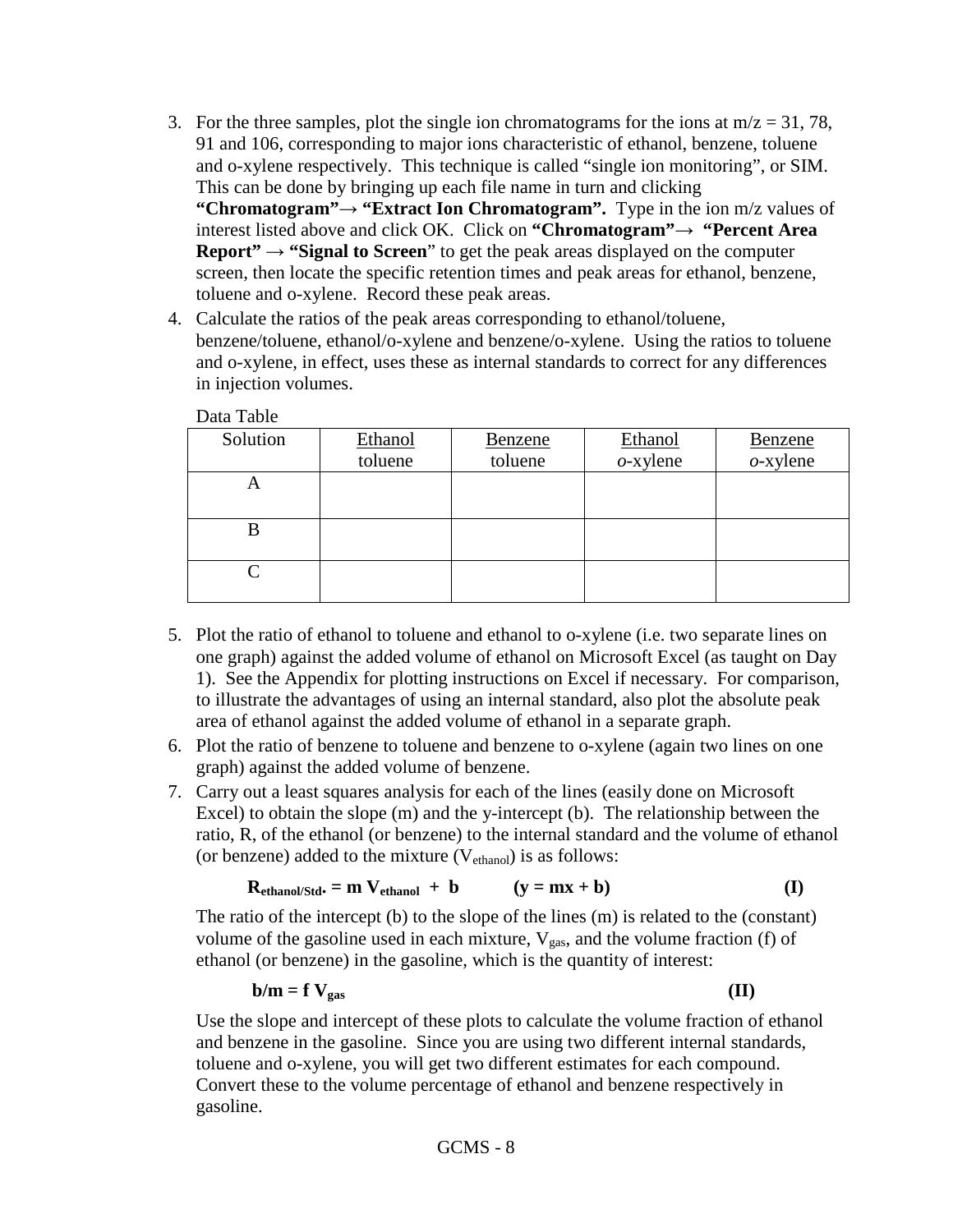- 3. For the three samples, plot the single ion chromatograms for the ions at  $m/z = 31, 78$ , 91 and 106, corresponding to major ions characteristic of ethanol, benzene, toluene and o-xylene respectively. This technique is called "single ion monitoring", or SIM. This can be done by bringing up each file name in turn and clicking **"Chromatogram"→ "Extract Ion Chromatogram".** Type in the ion m/z values of interest listed above and click OK. Click on **"Chromatogram"→ "Percent Area Report" → "Signal to Screen**" to get the peak areas displayed on the computer screen, then locate the specific retention times and peak areas for ethanol, benzene, toluene and o-xylene. Record these peak areas.
- 4. Calculate the ratios of the peak areas corresponding to ethanol/toluene, benzene/toluene, ethanol/o-xylene and benzene/o-xylene. Using the ratios to toluene and o-xylene, in effect, uses these as internal standards to correct for any differences in injection volumes.

| Solution          | Ethanol | Benzene | Ethanol     | Benzene     |
|-------------------|---------|---------|-------------|-------------|
|                   | toluene | toluene | $o$ -xylene | $o$ -xylene |
|                   |         |         |             |             |
|                   |         |         |             |             |
|                   |         |         |             |             |
|                   |         |         |             |             |
| $\mathsf{\Gamma}$ |         |         |             |             |
|                   |         |         |             |             |

Data Table

- 5. Plot the ratio of ethanol to toluene and ethanol to o-xylene (i.e. two separate lines on one graph) against the added volume of ethanol on Microsoft Excel (as taught on Day 1). See the Appendix for plotting instructions on Excel if necessary. For comparison, to illustrate the advantages of using an internal standard, also plot the absolute peak area of ethanol against the added volume of ethanol in a separate graph.
- 6. Plot the ratio of benzene to toluene and benzene to o-xylene (again two lines on one graph) against the added volume of benzene.
- 7. Carry out a least squares analysis for each of the lines (easily done on Microsoft Excel) to obtain the slope (m) and the y-intercept (b). The relationship between the ratio, R, of the ethanol (or benzene) to the internal standard and the volume of ethanol (or benzene) added to the mixture  $(V_{ethanol})$  is as follows:

$$
R_{ethanol/Std} = m V_{ethanol} + b \qquad (y = mx + b)
$$
 (I)

The ratio of the intercept (b) to the slope of the lines (m) is related to the (constant) volume of the gasoline used in each mixture,  $V_{gas}$ , and the volume fraction (f) of ethanol (or benzene) in the gasoline, which is the quantity of interest:

$$
b/m = f V_{gas}
$$
 (II)

Use the slope and intercept of these plots to calculate the volume fraction of ethanol and benzene in the gasoline. Since you are using two different internal standards, toluene and o-xylene, you will get two different estimates for each compound. Convert these to the volume percentage of ethanol and benzene respectively in gasoline.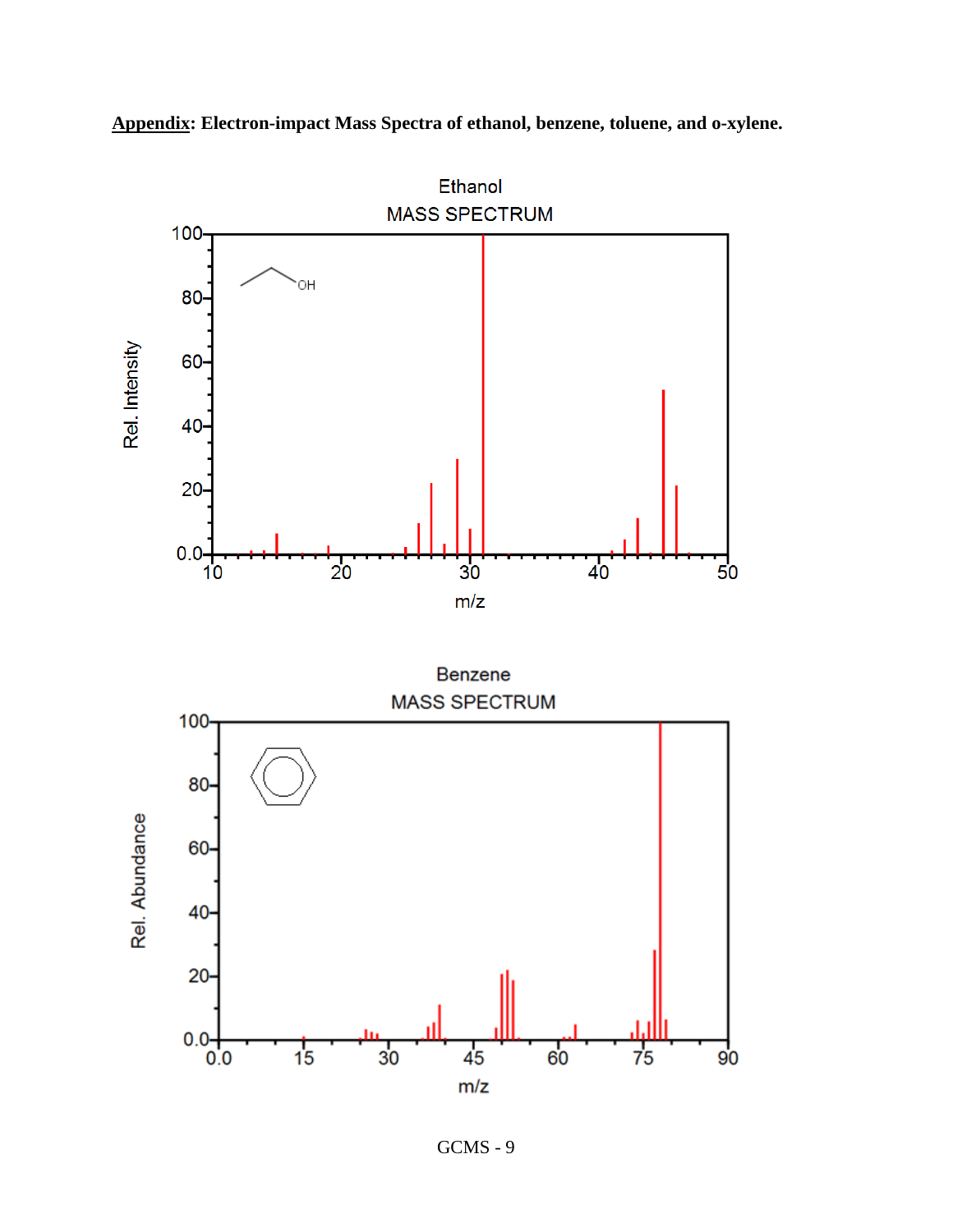

**Appendix: Electron-impact Mass Spectra of ethanol, benzene, toluene, and o-xylene.**